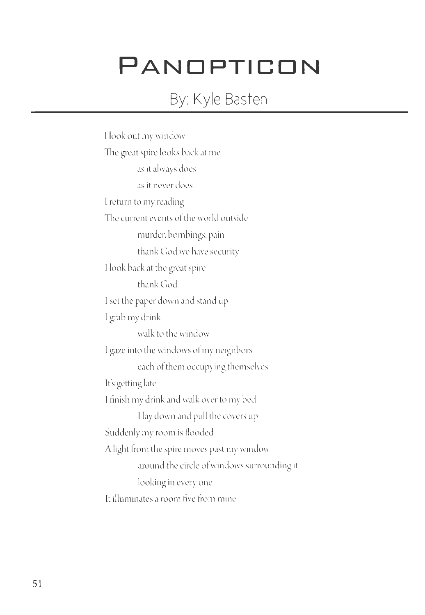## **PANDPTICDN**

## By: Kyle Basten

I look out my window The great spire looks back at me as it always docs as it never docs I return to my reading The current events of the world outside murder, bombings, pain thank God we have security I look back at the great spire thank God l set the paper down and stand up l grab my drink walk to the window l gaze into the windows of my neighbors each of them occupying themselves It's getting late I finish my drink and walk over to my bed I lay down and pull the covers up Suddenly my room is flooded A light from the spire moves past my window around the circle of windows surrounding it looking in every one It illuminates a room five from mine